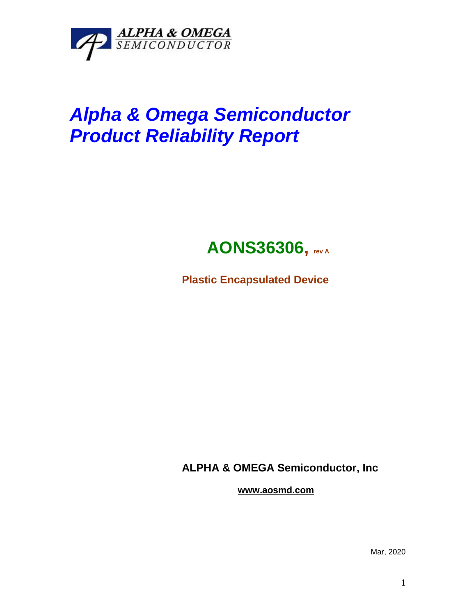

# *Alpha & Omega Semiconductor Product Reliability Report*

## **AONS36306, rev <sup>A</sup>**

**Plastic Encapsulated Device**

**ALPHA & OMEGA Semiconductor, Inc**

**www.aosmd.com**

Mar, 2020